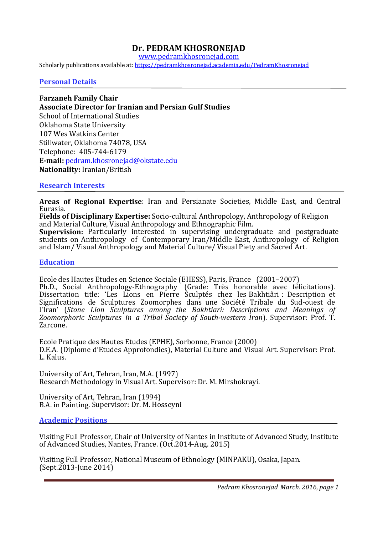# **Dr. PEDRAM KHOSRONEJAD**

www.pedramkhosronejad.com

Scholarly publications available at: https://pedramkhosronejad.academia.edu/PedramKhosronejad

**Personal Details** 

**Farzaneh Family Chair Associate Director for Iranian and Persian Gulf Studies**  School of International Studies Oklahoma State University 107 Wes Watkins Center Stillwater, Oklahoma 74078, USA Telephone: 405-744-6179 **E-mail:** pedram.khosronejad@okstate.edu **Nationality:** Iranian/British

#### **Research Interests**

**Areas of Regional Expertise**: Iran and Persianate Societies, Middle East, and Central Eurasia.

**Fields of Disciplinary Expertise:** Socio-cultural Anthropology, Anthropology of Religion and Material Culture, Visual Anthropology and Ethnographic Film. **Supervision:** Particularly interested in supervising undergraduate and postgraduate students on Anthropology of Contemporary Iran/Middle East, Anthropology of Religion and Islam/ Visual Anthropology and Material Culture/ Visual Piety and Sacred Art.

#### **Education**

Ecole des Hautes Etudes en Science Sociale (EHESS), Paris, France(2001–2007) Ph.D., Social Anthropology-Ethnography (Grade: Très honorable avec félicitations). Dissertation title: 'Les Lions en Pierre Sculptés chez les Bakhtiâri : Description et Significations de Sculptures Zoomorphes dans une Société Tribale du Sud-ouest de l'Iran' (*Stone Lion Sculptures among the Bakhtiari: Descriptions and Meanings of Zoomorphoric Sculptures in a Tribal Society of South-western Iran*). Supervisor: Prof. T. Zarcone.

Ecole Pratique des Hautes Etudes (EPHE), Sorbonne, France (2000)D.E.A. (Diplome d'Etudes Approfondies), Material Culture and Visual Art. Supervisor: Prof. L. Kalus.

University of Art, Tehran, Iran, M.A. (1997) Research Methodology in Visual Art. Supervisor: Dr. M. Mirshokrayi.

University of Art, Tehran, Iran (1994) B.A. in Painting. Supervisor: Dr. M. Hosseyni

#### **Academic Positions**

Visiting Full Professor, Chair of University of Nantes in Institute of Advanced Study, Institute of Advanced Studies, Nantes, France. (Oct.2014-Aug. 2015)

Visiting Full Professor, National Museum of Ethnology (MINPAKU), Osaka, Japan. (Sept.2013-June 2014)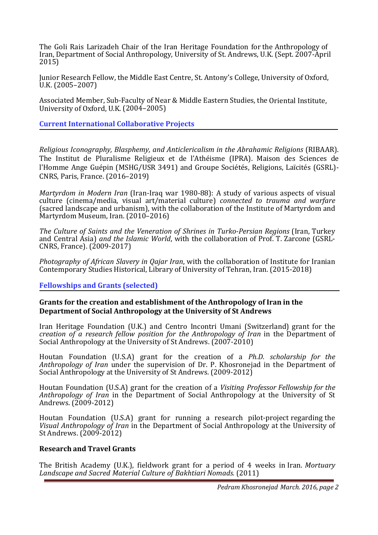The Goli Rais Larizadeh Chair of the Iran Heritage Foundation for the Anthropology of Iran, Department of Social Anthropology, University of St. Andrews, U.K. (Sept. 2007-April 2015)

Junior Research Fellow, the Middle East Centre, St. Antony's College, University of Oxford, U.K. (2005–2007)

Associated Member, Sub-Faculty of Near & Middle Eastern Studies, the Oriental Institute, University of Oxford, U.K. (2004–2005)

**Current International Collaborative Projects** 

*Religious Iconography, Blasphemy, and Anticlericalism in the Abrahamic Religions* (RIBAAR). The Institut de Pluralisme Religieux et de l'Athéisme (IPRA). Maison des Sciences de l'Homme Ange Guépin (MSHG/USR 3491) and Groupe Sociétés, Religions, Laïcités (GSRL)- CNRS, Paris, France. (2016–2019)

*Martyrdom in Modern Iran* (Iran-Iraq war 1980-88): A study of various aspects of visual culture (cinema/media, visual art/material culture) *connected to trauma and warfare* (sacred landscape and urbanism), with the collaboration of the Institute of Martyrdom and Martyrdom Museum, Iran. (2010–2016)

*The Culture of Saints and the Veneration of Shrines in Turko-Persian Regions* (Iran, Turkey and Central Asia) *and the Islamic World*, with the collaboration of Prof. T. Zarcone (GSRL-CNRS, France). (2009-2017)

*Photography of African Slavery in Qajar Iran*, with the collaboration of Institute for Iranian Contemporary Studies Historical, Library of University of Tehran, Iran. (2015-2018)

**Fellowships and Grants (selected)** 

### **Grants for the creation and establishment of the Anthropology of Iran in the Department of Social Anthropology at the University of St Andrews**

Iran Heritage Foundation (U.K.) and Centro Incontri Umani (Switzerland) grant for the *creation of a research fellow position for the Anthropology of Iran* in the Department of Social Anthropology at the University of St Andrews. (2007-2010)

Houtan Foundation (U.S.A) grant for the creation of a *Ph.D. scholarship for the Anthropology of Iran* under the supervision of Dr. P. Khosronejad in the Department of Social Anthropology at the University of St Andrews. (2009-2012)

Houtan Foundation (U.S.A) grant for the creation of a *Visiting Professor Fellowship for the Anthropology of Iran* in the Department of Social Anthropology at the University of St Andrews. (2009-2012)

Houtan Foundation (U.S.A) grant for running a research pilot-project regarding the *Visual Anthropology of Iran* in the Department of Social Anthropology at the University of St Andrews. (2009-2012)

### **Research and Travel Grants**

 The British Academy (U.K.), fieldwork grant for a period of 4 weeks in Iran. *Mortuary Landscape and Sacred Material Culture of Bakhtiari Nomads.* (2011)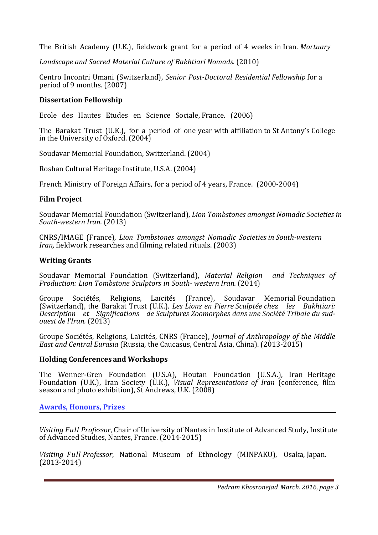The British Academy (U.K.), fieldwork grant for a period of 4 weeks in Iran. *Mortuary* 

*Landscape and Sacred Material Culture of Bakhtiari Nomads.* (2010)

Centro Incontri Umani (Switzerland), *Senior Post-Doctoral Residential Fellowship* for a period of 9 months. (2007)

# **Dissertation Fellowship**

Ecole des Hautes Etudes en Science Sociale, France. (2006)

The Barakat Trust (U.K.), for a period of one year with affiliation to St Antony's College in the University of Oxford. (2004)

Soudavar Memorial Foundation, Switzerland. (2004)

Roshan Cultural Heritage Institute, U.S.A. (2004)

French Ministry of Foreign Affairs, for a period of 4 years, France. (2000-2004)

# **Film Project**

Soudavar Memorial Foundation (Switzerland), *Lion Tombstones amongst Nomadic Societies in South-western Iran.* (2013)

CNRS/IMAGE (France), *Lion Tombstones amongst Nomadic Societies in South-western Iran,* fieldwork researches and filming related rituals. (2003)

# **Writing Grants**

Soudavar Memorial Foundation (Switzerland), *Material Religion and Techniques of Production: Lion Tombstone Sculptors in South- western Iran.* (2014)

Groupe Sociétés, Religions, Laïcités (France), Soudavar Memorial Foundation (Switzerland), the Barakat Trust (U.K.). *Les Lions en Pierre Sculptée chez les Bakhtiari: Description et Significations de Sculptures Zoomorphes dans une Société Tribale du sudouest de l'Iran.* (2013)

Groupe Sociétés, Religions, Laïcités, CNRS (France), *Journal of Anthropology of the Middle East and Central Eurasia* (Russia, the Caucasus, Central Asia, China). (2013-2015)

## **Holding Conferences and Workshops**

The Wenner-Gren Foundation (U.S.A), Houtan Foundation (U.S.A.), Iran Heritage Foundation (U.K.), Iran Society (U.K.), *Visual Representations of Iran* (conference, film season and photo exhibition), St Andrews, U.K. (2008)

**Awards, Honours, Prizes** 

*Visiting Full Professor*, Chair of University of Nantes in Institute of Advanced Study, Institute of Advanced Studies, Nantes, France. (2014-2015)

*Visiting Full Professor*, National Museum of Ethnology (MINPAKU), Osaka, Japan. (2013-2014)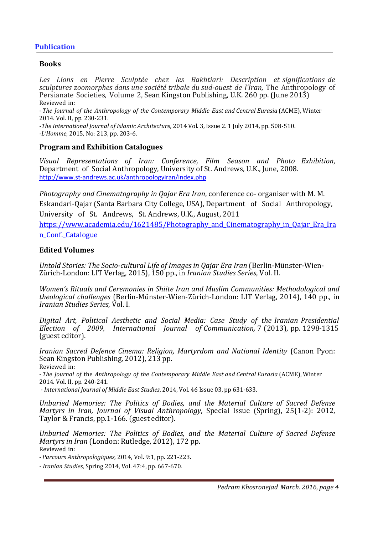# **Publication**

### **Books**

*Les Lions en Pierre Sculptée chez les Bakhtiari: Description et significations de sculptures zoomorphes dans une société tribale du sud-ouest de l'Iran,* The Anthropology of Persianate Societies*,* Volume 2, Sean Kingston Publishing, U.K. 260 pp. (June 2013) Reviewed in:

-*The Journal of the Anthropology of the Contemporary Middle East and Central Eurasia* (ACME), Winter 2014. Vol. II, pp. 230-231.

*-The International Journal of Islamic Architecture,* 2014 Vol. 3, Issue 2. 1 July 2014, pp. 508-510. *-L'Homme*, 2015, No: 213, pp. 203-6.

### **Program and Exhibition Catalogues**

*Visual Representations of Iran: Conference, Film Season and Photo Exhibition*, Department of Social Anthropology, University of St. Andrews, U.K., June, 2008. http://www.st-andrews.ac.uk/anthropologyiran/index.php

*Photography and Cinematography in Qajar Era Iran*, conference co- organiser with M. M. Eskandari-Qajar (Santa Barbara City College, USA), Department of Social Anthropology, University of St. Andrews, St. Andrews, U.K., August, 2011

https://www.academia.edu/1621485/Photography\_and\_Cinematography\_in\_Qajar\_Era\_Ira n\_Conf.\_Catalogue

### **Edited Volumes**

*Untold Stories: The Socio-cultural Life of Images in Qajar Era Iran* (Berlin-Münster-Wien-Zürich-London: LIT Verlag, 2015), 150 pp., in *Iranian Studies Series*, Vol. II.

*Women's Rituals and Ceremonies in Shiite Iran and Muslim Communities: Methodological and theological challenges* (Berlin-Münster-Wien-Zürich-London: LIT Verlag, 2014), 140 pp.*,* in *Iranian Studies Series*, Vol. I.

*Digital Art, Political Aesthetic and Social Media: Case Study of the Iranian Presidential Election of 2009, International Journal of Communication,* 7 (2013), pp. 1298-1315 (guest editor).

*Iranian Sacred Defence Cinema: Religion, Martyrdom and National Identity* (Canon Pyon: Sean Kingston Publishing, 2012), 213 pp.

Reviewed in:

-*The Journal of* the *Anthropology of the Contemporary Middle East and Central Eurasia* (ACME), Winter 2014. Vol. II, pp. 240-241.

 *- International Journal of Middle East Studies*, 2014, Vol. 46 Issue 03, pp 631-633.

*Unburied Memories: The Politics of Bodies, and the Material Culture of Sacred Defense Martyrs in Iran, Journal of Visual Anthropology*, Special Issue (Spring), 25(1-2): 2012, Taylor & Francis, pp.1-166. (guest editor).

*Unburied Memories: The Politics of Bodies, and the Material Culture of Sacred Defense Martyrs in Iran* (London: Rutledge, 2012), 172 pp. Reviewed in:

-*Parcours Anthropologiques*, 2014, Vol. 9:1, pp. 221-223.

*- Iranian Studies*, Spring 2014, Vol. 47:4, pp. 667-670.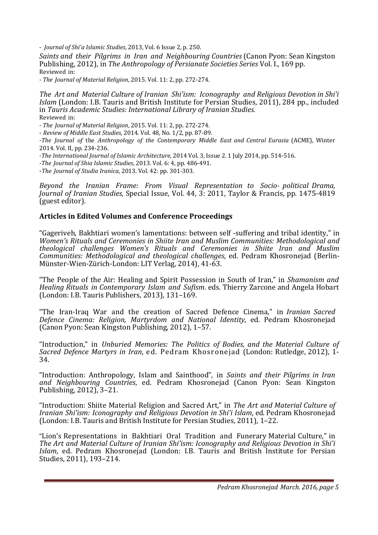- *Journal of Shi'a Islamic Studies*, 2013, Vol. 6 Issue 2, p. 250.

*Saints and their Pilgrims in Iran and Neighbouring Countries* (Canon Pyon: Sean Kingston Publishing, 2012), in *The Anthropology of Persianate Societies Series* Vol. I., 169 pp. Reviewed in:

*- The Journal of Material Religion*, 2015. Vol. 11: 2, pp. 272-274.

*The Art and Material Culture of Iranian Shi'ism: Iconography and Religious Devotion in Shi'i Islam* (London: I.B. Tauris and British Institute for Persian Studies, 2011), 284 pp., included in *Tauris Academic Studies: International Library of Iranian Studies.*  Reviewed in:

*- The Journal of Material Religion*, 2015. Vol. 11: 2, pp. 272-274.

- *Review of Middle East Studies,* 2014. Vol. 48, No. 1/2, pp. 87-89.

*-The Journal of* the *Anthropology of the Contemporary Middle East and Central Eurasia* (ACME), Winter 2014. Vol. II, pp. 234-236.

*-The International Journal of Islamic Architecture,* 2014 Vol. 3, Issue 2. 1 July 2014, pp. 514-516.

*-The Journal of Shia Islamic Studies*, 2013. Vol. 6: 4, pp. 486-491.

-*The Journal of Studia Iranica*, 2013. Vol. 42: pp. 301-303.

*Beyond the Iranian Frame: From Visual Representation to Socio- political Drama, Journal of Iranian Studies,* Special Issue, Vol. 44, 3: 2011, Taylor & Francis, pp. 1475-4819 (guest editor).

### **Articles in Edited Volumes and Conference Proceedings**

"Gageriveh, Bakhtiari women's lamentations: between self -suffering and tribal identity," in *Women's Rituals and Ceremonies in Shiite Iran and Muslim Communities: Methodological and theological challenges Women's Rituals and Ceremonies in Shiite Iran and Muslim Communities: Methodological and theological challenges*, ed. Pedram Khosronejad (Berlin-Münster-Wien-Zürich-London: LIT Verlag, 2014), 41-63.

"The People of the Air: Healing and Spirit Possession in South of Iran," in *Shamanism and Healing Rituals in Contemporary Islam and Sufism*. eds. Thierry Zarcone and Angela Hobart (London: I.B. Tauris Publishers, 2013), 131–169.

"The Iran-Iraq War and the creation of Sacred Defence Cinema," in *Iranian Sacred Defence Cinema: Religion, Martyrdom and National Identity*, ed. Pedram Khosronejad (Canon Pyon: Sean Kingston Publishing, 2012), 1–57.

"Introduction," in *Unburied Memories: The Politics of Bodies, and the Material Culture of Sacred Defence Martyrs in Iran*, ed. Pedram Khosronejad (London: Rutledge, 2012), 1- 34.

"Introduction: Anthropology, Islam and Sainthood", in *Saints and their Pilgrims in Iran and Neighbouring Countries*, ed. Pedram Khosronejad (Canon Pyon: Sean Kingston Publishing, 2012), 3–21.

"Introduction: Shiite Material Religion and Sacred Art," in *The Art and Material Culture of Iranian Shi'ism: Iconography and Religious Devotion in Shi'i Islam*, ed. Pedram Khosronejad (London: I.B. Tauris and British Institute for Persian Studies, 2011), 1–22.

"Lion's Representations in Bakhtiari Oral Tradition and Funerary Material Culture," in *The Art and Material Culture of Iranian Shi'ism: Iconography and Religious Devotion in Shi'i Islam*, ed. Pedram Khosronejad (London: I.B. Tauris and British Institute for Persian Studies, 2011), 193–214.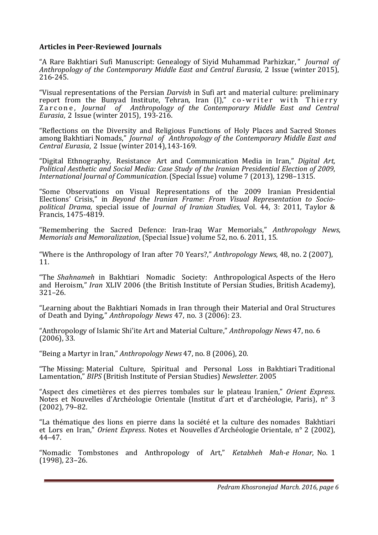# **Articles in Peer-Reviewed Journals**

"A Rare Bakhtiari Sufi Manuscript: Genealogy of Siyid Muhammad Parhizkar, " *Journal of Anthropology of the Contemporary Middle East and Central Eurasia*, 2 Issue (winter 2015), 216-245.

"Visual representations of the Persian *Darvish* in Sufi art and material culture: preliminary report from the Bunyad Institute, Tehran, Iran (I)," co-writer with Thierry Zarcone, *Journal of Anthropology of the Contemporary Middle East and Central Eurasia*, 2 Issue (winter 2015), 193-216.

"Reflections on the Diversity and Religious Functions of Holy Places and Sacred Stones among Bakhtiari Nomads," *Journal of Anthropology of the Contemporary Middle East and Central Eurasia*, 2 Issue (winter 2014),143-169.

"Digital Ethnography, Resistance Art and Communication Media in Iran," *Digital Art, Political Aesthetic and Social Media: Case Study of the Iranian Presidential Election of 2009*, *International Journal of Communication*. (Special Issue) volume 7 (2013), 1298–1315.

"Some Observations on Visual Representations of the 2009 Iranian Presidential Elections' Crisis," in *Beyond the Iranian Frame: From Visual Representation to Sociopolitical Drama*, special issue of *Journal of Iranian Studies,* Vol. 44, 3: 2011, Taylor & Francis, 1475-4819.

"Remembering the Sacred Defence: Iran-Iraq War Memorials," *Anthropology News*, *Memorials and Memoralization*, (Special Issue) volume 52, no. 6. 2011, 15.

"Where is the Anthropology of Iran after 70 Years?," *Anthropology News*, 48, no. 2 (2007), 11.

"The *Shahnameh* in Bakhtiari Nomadic Society: Anthropological Aspects of the Hero and Heroism," *Iran* XLIV 2006 (the British Institute of Persian Studies, British Academy), 321–26.

"Learning about the Bakhtiari Nomads in Iran through their Material and Oral Structures of Death and Dying," *Anthropology News* 47, no. 3 (2006): 23.

"Anthropology of Islamic Shi'ite Art and Material Culture," *Anthropology News* 47, no. 6 (2006), 33.

"Being a Martyr in Iran," *Anthropology News* 47, no. 8 (2006), 20.

"The Missing: Material Culture, Spiritual and Personal Loss in Bakhtiari Traditional Lamentation," *BIPS* (British Institute of Persian Studies) *Newsletter.* 2005

"Aspect des cimetières et des pierres tombales sur le plateau Iranien," *Orient Express*. Notes et Nouvelles d'Archéologie Orientale (Institut d'art et d'archéologie, Paris), n° 3 (2002), 79–82.

"La thématique des lions en pierre dans la société et la culture des nomades Bakhtiari et Lors en Iran," *Orient Express*. Notes et Nouvelles d'Archéologie Orientale, n° 2 (2002), 44–47.

"Nomadic Tombstones and Anthropology of Art," *Ketabheh Mah-e Honar*, No. 1 (1998), 23–26.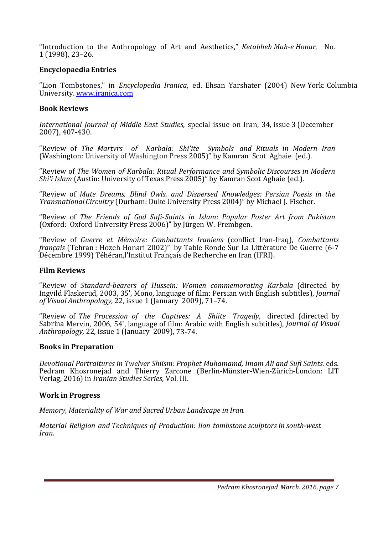"Introduction to the Anthropology of Art and Aesthetics," *Ketabheh Mah-e Honar*, No. 1 (1998), 23–26.

## **Encyclopaedia Entries**

"Lion Tombstones," in *Encyclopedia Iranica*, ed. Ehsan Yarshater (2004) New York: Columbia University. www.iranica.com

# **Book Reviews**

*International Journal of Middle East Studies*, special issue on Iran, 34, issue 3 (December 2007), 407-430.

"Review of *The Martyrs of Karbala: Shi'ite Symbols and Rituals in Modern Iran* (Washington: University of Washington Press 2005)" by Kamran Scot Aghaie (ed.).

"Review of *The Women of Karbala: Ritual Performance and Symbolic Discourses in Modern Shi'i Islam* (Austin: University of Texas Press 2005)" by Kamran Scot Aghaie (ed.).

"Review of *Mute Dreams, Blind Owls, and Dispersed Knowledges: Persian Poesis in the Transnational Circuitry* (Durham: Duke University Press 2004)" by Michael J. Fischer.

"Review of *The Friends of God Sufi-Saints in Islam*: *Popular Poster Art from Pakistan* (Oxford: Oxford University Press 2006)" by Jürgen W. Frembgen.

"Review of *Guerre et Mémoire: Combattants Iraniens* (conflict Iran-Iraq), *Combattants français* (Tehran : Hozeh Honari 2002)" by Table Ronde Sur La Littérature De Guerre (6-7 Décembre 1999) Téhéran,l'Institut Français de Recherche en Iran (IFRI).

## **Film Reviews**

"Review of *Standard-bearers of Hussein: Women commemorating Karbala* (directed by Ingvild Flaskerud, 2003, 35', Mono, language of film: Persian with English subtitles), *Journal of Visual Anthropology,* 22, issue 1 (January 2009), 71–74.

"Review of *The Procession of the Captives: A Shiite Tragedy*, directed (directed by Sabrina Mervin, 2006, 54', language of film: Arabic with English subtitles), *Journal of Visual Anthropology,* 22, issue 1 (January 2009), 73-74.

## **Books in Preparation**

*Devotional Portraitures in Twelver Shiism: Prophet Muhamamd, Imam Ali and Sufi Saints*. eds. Pedram Khosronejad and Thierry Zarcone (Berlin-Münster-Wien-Zürich-London: LIT Verlag, 2016) in *Iranian Studies Series*, Vol. III.

## **Work in Progress**

*Memory, Materiality of War and Sacred Urban Landscape in Iran.* 

*Material Religion and Techniques of Production: lion tombstone sculptors in south-west Iran.*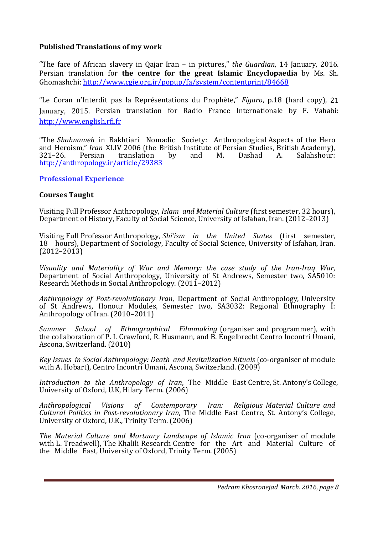# **Published Translations of my work**

"The face of African slavery in Qajar Iran – in pictures," *the Guardian*, 14 January, 2016. Persian translation for **the centre for the great Islamic Encyclopaedia** by Ms. Sh. Ghomashchi: http://www.cgie.org.ir/popup/fa/system/contentprint/84668

"Le Coran n'Interdit pas la Représentations du Prophète," *Figaro*, p.18 (hard copy), 21 January, 2015. Persian translation for Radio France Internationale by F. Vahabi: http://www.english.rfi.fr

"The *Shahnameh* in Bakhtiari Nomadic Society: Anthropological Aspects of the Hero and Heroism," *Iran* XLIV 2006 (the British Institute of Persian Studies, British Academy), 321–26. Persian translation by and M. Dashad A. Salahshour: http://anthropology.ir/article/29383

**Professional Experience** 

### **Courses Taught**

Visiting Full Professor Anthropology, *Islam and Material Culture* (first semester, 32 hours), Department of History, Faculty of Social Science, University of Isfahan, Iran. (2012–2013)

Visiting Full Professor Anthropology, *Shi'ism in the United States*(first semester, 18 hours), Department of Sociology, Faculty of Social Science, University of Isfahan, Iran.  $(2012 - 2013)$ 

*Visuality and Materiality of War and Memory: the case study of the Iran-Iraq War*, Department of Social Anthropology, University of St Andrews, Semester two, SA5010: Research Methods in Social Anthropology. (2011–2012)

*Anthropology of Post-revolutionary Iran*, Department of Social Anthropology, University of St Andrews, Honour Modules, Semester two, SA3032: Regional Ethnography I: Anthropology of Iran. (2010–2011)

*Summer School of Ethnographical Filmmaking* (organiser and programmer), with the collaboration of P. I. Crawford, R. Husmann, and B. Engelbrecht Centro Incontri Umani, Ascona, Switzerland. (2010)

*Key Issues in Social Anthropology: Death and Revitalization Rituals* (co-organiser of module with A. Hobart), Centro Incontri Umani, Ascona, Switzerland. (2009)

*Introduction to the Anthropology of Iran*, The Middle East Centre, St. Antony's College, University of Oxford, U.K, Hilary Term. (2006)

*Anthropological Visions of Contemporary Iran: Religious Material Culture and Cultural Politics in Post-revolutionary Iran*, The Middle East Centre, St. Antony's College, University of Oxford, U.K., Trinity Term. (2006)

*The Material Culture and Mortuary Landscape of Islamic Iran* (co-organiser of module with L. Treadwell), The Khalili Research Centre for the Art and Material Culture of the Middle East, University of Oxford, Trinity Term. (2005)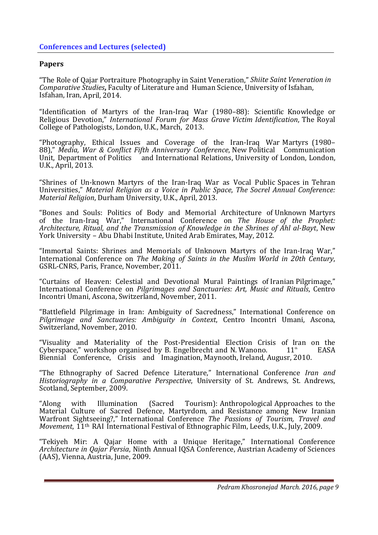### **Papers**

"The Role of Qajar Portraiture Photography in Saint Veneration," *Shiite Saint Veneration in Comparative Studies***,** Faculty of Literature and Human Science, University of Isfahan, Isfahan, Iran, April, 2014.

"Identification of Martyrs of the Iran-Iraq War (1980–88): Scientific Knowledge or Religious Devotion," *International Forum for Mass Grave Victim Identification*, The Royal College of Pathologists, London, U.K., March, 2013.

"Photography, Ethical Issues and Coverage of the Iran-Iraq War Martyrs (1980– 88)," *Media, War & Conflict Fifth Anniversary Conference*, New Political Communication<br>Unit, Department of Politics and International Relations, University of London, London, U.K., April, 2013.

"Shrines of Un-known Martyrs of the Iran-Iraq War as Vocal Public Spaces in Tehran Universities," *Material Religion as a Voice in Public Space*, *The Socrel Annual Conference: Material Religion*, Durham University, U.K., April, 2013.

"Bones and Souls: Politics of Body and Memorial Architecture of Unknown Martyrs of the Iran-Iraq War," International Conference on *The House of the Prophet: Architecture, Ritual, and the Transmission of Knowledge in the Shrines of Ahl al-Bayt*, New York University – Abu Dhabi Institute, United Arab Emirates, May, 2012.

"Immortal Saints: Shrines and Memorials of Unknown Martyrs of the Iran-Iraq War," International Conference on *The Making of Saints in the Muslim World in 20th Century*, GSRL-CNRS, Paris, France, November, 2011.

"Curtains of Heaven: Celestial and Devotional Mural Paintings of Iranian Pilgrimage," International Conference on *Pilgrimages and Sanctuaries: Art, Music and Rituals*, Centro Incontri Umani, Ascona, Switzerland, November, 2011.

"Battlefield Pilgrimage in Iran: Ambiguity of Sacredness," International Conference on *Pilgrimage and Sanctuaries: Ambiguity in Context*, Centro Incontri Umani, Ascona, Switzerland, November, 2010.

"Visuality and Materiality of the Post-Presidential Election Crisis of Iran on the Cyberspace," workshop organised by B. Engelbrecht and N. Wanono.  $11<sup>th</sup>$  EASA Biennial Conference, Crisis and Imagination, Maynooth, Ireland, Augusr, 2010.

"The Ethnography of Sacred Defence Literature," International Conference *Iran and Historiography in a Comparative Perspective*, University of St. Andrews, St. Andrews, Scotland, September, 2009.

"Along with Illumination (Sacred Tourism): Anthropological Approaches to the Material Culture of Sacred Defence, Martyrdom, and Resistance among New Iranian Warfront Sightseeing?," International Conference *The Passions of Tourism, Travel and Movement*, 11th RAI International Festival of Ethnographic Film, Leeds, U.K., July, 2009.

"Tekiyeh Mir: A Qajar Home with a Unique Heritage," International Conference *Architecture in Qajar Persia*, Ninth Annual IQSA Conference, Austrian Academy of Sciences (AAS), Vienna, Austria, June, 2009.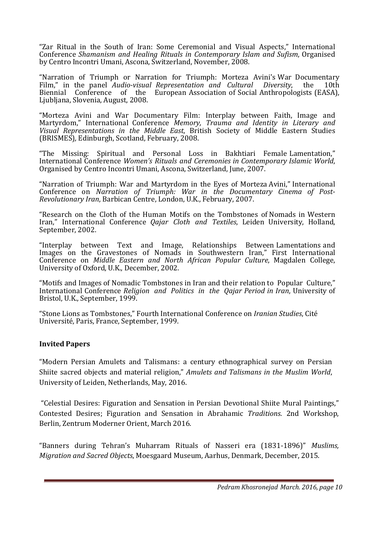"Zar Ritual in the South of Iran: Some Ceremonial and Visual Aspects," International Conference *Shamanism and Healing Rituals in Contemporary Islam and Sufism*, Organised by Centro Incontri Umani, Ascona, Switzerland, November, 2008.

"Narration of Triumph or Narration for Triumph: Morteza Avini's War Documentary Film," in the panel *Audio-visual Representation and Cultural Diversity*, the 10th Biennial Conference of the European Association of Social Anthropologists (EASA), Ljubljana, Slovenia, August, 2008.

"Morteza Avini and War Documentary Film: Interplay between Faith, Image and Martyrdom," International Conference *Memory, Trauma and Identity in Literary and Visual Representations in the Middle East*, British Society of Middle Eastern Studies (BRISMES)*,* Edinburgh, Scotland, February, 2008.

"The Missing: Spiritual and Personal Loss in Bakhtiari Female Lamentation," International Conference *Women's Rituals and Ceremonies in Contemporary Islamic World*, Organised by Centro Incontri Umani, Ascona, Switzerland, June, 2007.

"Narration of Triumph: War and Martyrdom in the Eyes of Morteza Avini," International Conference on *Narration of Triumph: War in the Documentary Cinema of Post-Revolutionary Iran*, Barbican Centre, London, U.K., February, 2007.

"Research on the Cloth of the Human Motifs on the Tombstones of Nomads in Western Iran," International Conference *Qajar Cloth and Textiles*, Leiden University, Holland, September, 2002.

"Interplay between Text and Image, Relationships Between Lamentations and Images on the Gravestones of Nomads in Southwestern Iran," First International Conference on *Middle Eastern and North African Popular Culture*, Magdalen College, University of Oxford, U.K., December, 2002.

"Motifs and Images of Nomadic Tombstones in Iran and their relation to Popular Culture," International Conference *Religion and Politics in the Qajar Period in Iran*, University of Bristol, U.K., September, 1999.

"Stone Lions as Tombstones," Fourth International Conference on *Iranian Studies*, Cité Université, Paris, France, September, 1999.

## **Invited Papers**

"Modern Persian Amulets and Talismans: a century ethnographical survey on Persian Shiite sacred objects and material religion," *Amulets and Talismans in the Muslim World*, University of Leiden, Netherlands, May, 2016.

 "Celestial Desires: Figuration and Sensation in Persian Devotional Shiite Mural Paintings," Contested Desires; Figuration and Sensation in Abrahamic *Traditions*. 2nd Workshop, Berlin, Zentrum Moderner Orient, March 2016.

"Banners during Tehran's Muharram Rituals of Nasseri era (1831-1896)" *Muslims, Migration and Sacred Objects*, Moesgaard Museum, Aarhus, Denmark, December, 2015.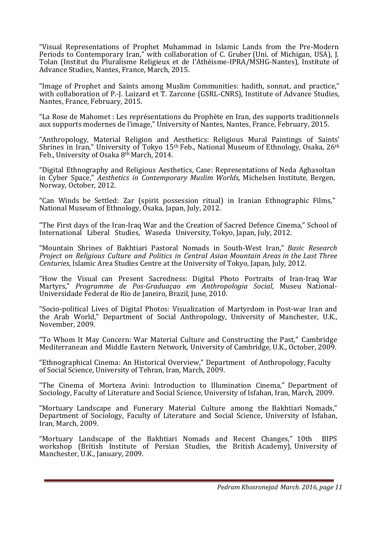"Visual Representations of Prophet Muhammad in Islamic Lands from the Pre-Modern Periods to Contemporary Iran," with collaboration of C. Gruber (Uni. of Michigan, USA), J. Tolan (Institut du Pluralisme Religieux et de l'Athéisme-IPRA/MSHG-Nantes), Institute of Advance Studies, Nantes, France, March, 2015.

"Image of Prophet and Saints among Muslim Communities: hadith, sonnat, and practice," with collaboration of P.-J. Luizard et T. Zarcone (GSRL-CNRS), Institute of Advance Studies, Nantes, France, February, 2015.

"La Rose de Mahomet : Les représentations du Prophète en Iran, des supports traditionnels aux supports modernes de l'image," University of Nantes, Nantes, France, February, 2015.

"Anthropology, Material Religion and Aesthetics: Religious Mural Paintings of Saints' Shrines in Iran," University of Tokyo 15<sup>th</sup> Feb., National Museum of Ethnology, Osaka, 26<sup>th</sup> Feb., University of Osaka 8<sup>th</sup> March, 2014.

"Digital Ethnography and Religious Aesthetics, Case: Representations of Neda Aghasoltan in Cyber Space," *Aesthetics in Contemporary Muslim Worlds*, Michelsen Institute, Bergen, Norway, October, 2012.

"Can Winds be Settled: Zar (spirit possession ritual) in Iranian Ethnographic Films," National Museum of Ethnology, Osaka, Japan, July, 2012.

"The First days of the Iran-Iraq War and the Creation of Sacred Defence Cinema," School of International Liberal Studies, Waseda University, Tokyo, Japan, July, 2012.

"Mountain Shrines of Bakhtiari Pastoral Nomads in South-West Iran," *Basic Research Project on Religious Culture and Politics in Central Asian Mountain Areas in the Last Three Centuries*, Islamic Area Studies Centre at the University of Tokyo, Japan, July, 2012.

"How the Visual can Present Sacredness: Digital Photo Portraits of Iran-Iraq War Martyrs," *Programme de Pos-Graduaçao em Anthropologia Social*, Museu National-Universidade Federal de Rio de Janeiro, Brazil, June, 2010.

"Socio-political Lives of Digital Photos: Visualization of Martyrdom in Post-war Iran and the Arab World," Department of Social Anthropology, University of Manchester, U.K., November, 2009.

"To Whom It May Concern: War Material Culture and Constructing the Past," Cambridge Mediterranean and Middle Eastern Network, University of Cambridge, U.K., October, 2009.

"Ethnographical Cinema: An Historical Overview," Department of Anthropology, Faculty of Social Science, University of Tehran, Iran, March, 2009.

"The Cinema of Morteza Avini: Introduction to Illumination Cinema," Department of Sociology, Faculty of Literature and Social Science, University of Isfahan, Iran, March, 2009.

"Mortuary Landscape and Funerary Material Culture among the Bakhtiari Nomads," Department of Sociology, Faculty of Literature and Social Science, University of Isfahan, Iran, March, 2009.

"Mortuary Landscape of the Bakhtiari Nomads and Recent Changes," 10th BIPS workshop (British Institute of Persian Studies, the British Academy), University of Manchester, U.K., January, 2009.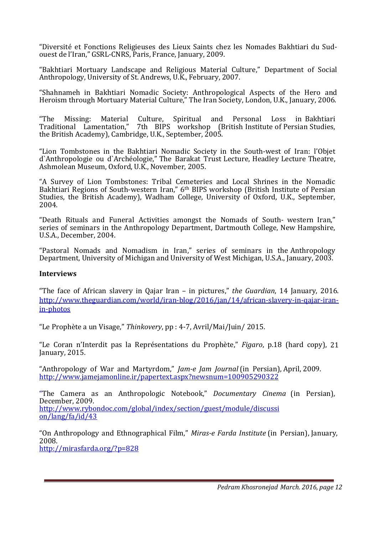"Diversité et Fonctions Religieuses des Lieux Saints chez les Nomades Bakhtiari du Sudouest de l'Iran," GSRL-CNRS, Paris, France, January, 2009.

"Bakhtiari Mortuary Landscape and Religious Material Culture," Department of Social Anthropology, University of St. Andrews, U.K., February, 2007.

"Shahnameh in Bakhtiari Nomadic Society: Anthropological Aspects of the Hero and Heroism through Mortuary Material Culture," The Iran Society, London, U.K., January, 2006.

"The Missing: Material Culture, Spiritual and Personal Loss in Bakhtiari Traditional Lamentation," 7th BIPS workshop (British Institute of Persian Studies, the British Academy), Cambridge, U.K., September, 2005.

"Lion Tombstones in the Bakhtiari Nomadic Society in the South-west of Iran: l'Objet d`Anthropologie ou d`Archéologie," The Barakat Trust Lecture, Headley Lecture Theatre, Ashmolean Museum, Oxford, U.K., November, 2005.

"A Survey of Lion Tombstones: Tribal Cemeteries and Local Shrines in the Nomadic Bakhtiari Regions of South-western Iran," 6th BIPS workshop (British Institute of Persian Studies, the British Academy), Wadham College, University of Oxford, U.K., September, 2004.

"Death Rituals and Funeral Activities amongst the Nomads of South- western Iran," series of seminars in the Anthropology Department, Dartmouth College, New Hampshire, U.S.A., December, 2004.

"Pastoral Nomads and Nomadism in Iran," series of seminars in the Anthropology Department, University of Michigan and University of West Michigan, U.S.A., January, 2003.

#### **Interviews**

"The face of African slavery in Qajar Iran – in pictures," *the Guardian*, 14 January, 2016. http://www.theguardian.com/world/iran-blog/2016/jan/14/african-slavery-in-qajar-iranin-photos

"Le Prophète a un Visage," *Thinkovery*, pp : 4-7, Avril/Mai/Juin/ 2015.

"Le Coran n'Interdit pas la Représentations du Prophète," *Figaro*, p.18 (hard copy), 21 January, 2015.

"Anthropology of War and Martyrdom," *Jam-e Jam Journal* (in Persian), April, 2009. http://www.jamejamonline.ir/papertext.aspx?newsnum=100905290322

"The Camera as an Anthropologic Notebook," *Documentary Cinema* (in Persian), December, 2009. http://www.rybondoc.com/global/index/section/guest/module/discussi on/lang/fa/id/43

"On Anthropology and Ethnographical Film," *Miras-e Farda Institute* (in Persian), January, 2008. http://mirasfarda.org/?p=828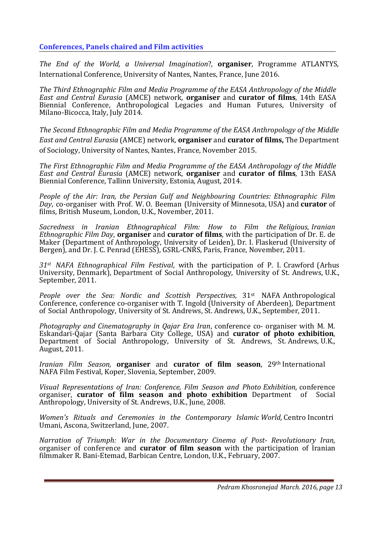# **Conferences, Panels chaired and Film activities**

*The End of the World, a Universal Imagination*?*,* **organiser**, Programme ATLANTYS, International Conference, University of Nantes, Nantes, France, June 2016.

*The Third Ethnographic Film and Media Programme of the EASA Anthropology of the Middle East and Central Eurasia* (AMCE) network, **organiser** and **curator of films**, 14th EASA Biennial Conference, Anthropological Legacies and Human Futures, University of Milano-Bicocca, Italy, July 2014.

*The Second Ethnographic Film and Media Programme of the EASA Anthropology of the Middle East and Central Eurasia* (AMCE) network, **organiser** and **curator of films,** The Department of Sociology, University of Nantes, Nantes, France, November 2015.

*The First Ethnographic Film and Media Programme of the EASA Anthropology of the Middle East and Central Eurasia* (AMCE) network, **organiser** and **curator of films**, 13th EASA Biennial Conference, Tallinn University, Estonia, August, 2014.

*People of the Air: Iran, the Persian Gulf and Neighbouring Countries: Ethnographic Film Day*, co-organiser with Prof. W. O. Beeman (University of Minnesota, USA) and **curator** of films, British Museum, London, U.K., November, 2011.

*Sacredness in Iranian Ethnographical Film: How to Film the Religious, Iranian Ethnographic Film Day*, **organiser** and **curator of films**, with the participation of Dr. E. de Maker (Department of Anthropology, University of Leiden), Dr. I. Flaskerud (University of Bergen), and Dr. J. C. Penrad (EHESS), GSRL-CNRS, Paris, France, November, 2011.

*31st NAFA Ethnographical Film Festival*, with the participation of P. I. Crawford (Arhus University, Denmark), Department of Social Anthropology, University of St. Andrews, U.K., September, 2011.

*People over the Sea: Nordic and Scottish Perspectives*, 31st NAFA Anthropological Conference, conference co-organiser with T. Ingold (University of Aberdeen), Department of Social Anthropology, University of St. Andrews, St. Andrews, U.K., September, 2011.

*Photography and Cinematography in Qajar Era Iran*, conference co- organiser with M. M. Eskandari-Qajar (Santa Barbara City College, USA) and **curator of photo exhibition**, Department of Social Anthropology, University of St. Andrews, St. Andrews, U.K., August, 2011.

*Iranian Film Season*, **organiser** and **curator of film season**, 29th International NAFA Film Festival, Koper, Slovenia, September, 2009.

*Visual Representations of Iran: Conference, Film Season and Photo Exhibition*, conference organiser, **curator of film season and photo exhibition** Department of Social Anthropology, University of St. Andrews, U.K., June, 2008.

*Women's Rituals and Ceremonies in the Contemporary Islamic World,* Centro Incontri Umani, Ascona, Switzerland, June, 2007.

*Narration of Triumph: War in the Documentary Cinema of Post- Revolutionary Iran,* organiser of conference and **curator of film season** with the participation of Iranian filmmaker R. Bani-Etemad, Barbican Centre, London, U.K., February, 2007.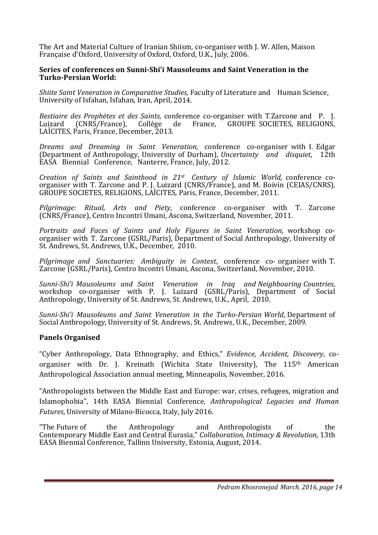The Art and Material Culture of Iranian Shiism, co-organiser with J. W. Allen, Maison Française d'Oxford, University of Oxford, Oxford, U.K., July, 2006.

#### **Series of conferences on Sunni-Shi'i Mausoleums and Saint Veneration in the Turko-Persian World:**

*Shiite Saint Veneration in Comparative Studies,* Faculty of Literature and Human Science, University of Isfahan, Isfahan, Iran, April, 2014.

*Bestiaire des Prophètes et des Saints,* conference co-organiser with T.Zarcone and P. J. GROUPE SOCIETES, RELIGIONS, LAÏCITES, Paris, France, December, 2013.

*Dreams and Dreaming in Saint Veneration,* conference co-organiser with I. Edgar (Department of Anthropology, University of Durham), *Uncertainty and disquiet*, 12th EASA Biennial Conference, Nanterre, France, July, 2012.

*Creation of Saints and Sainthood in 21st Century of Islamic World,* conference coorganiser with T. Zarcone and P. J. Luizard (CNRS/France), and M. Boivin (CEIAS/CNRS), GROUPE SOCIETES, RELIGIONS, LAÏCITES, Paris, France, December, 2011.

*Pilgrimage: Ritual, Arts and Piety*, conference co-organiser with T. Zarcone (CNRS/France), Centro Incontri Umani, Ascona, Switzerland, November, 2011.

*Portraits and Faces of Saints and Holy Figures in Saint Veneration,* workshop coorganiser with T. Zarcone (GSRL/Paris), Department of Social Anthropology, University of St. Andrews, St. Andrews, U.K., December, 2010.

*Pilgrimage and Sanctuaries: Ambiguity in Context*, conference co- organiser with T. Zarcone (GSRL/Paris), Centro Incontri Umani, Ascona, Switzerland, November, 2010.

*Sunni-Shi'i Mausoleums and Saint Veneration in Iraq and Neighbouring Countries*, workshop co-organiser with P. J. Luizard (GSRL/Paris), Department of Social Anthropology, University of St. Andrews, St. Andrews, U.K., April, 2010.

*Sunni-Shi'i Mausoleums and Saint Veneration in the Turko-Persian World*, Department of Social Anthropology, University of St. Andrews, St. Andrews, U.K., December, 2009.

#### **Panels Organised**

"Cyber Anthropology, Data Ethnography, and Ethics," *Evidence, Accident, Discovery*, coorganiser with Dr. J. Kreinath (Wichita State University), The 115<sup>th</sup> American Anthropological Association annual meeting, Minneapolis, November, 2016.

"Anthropologists between the Middle East and Europe: war, crises, refugees, migration and Islamophobia", 14th EASA Biennial Conference, *Anthropological Legacies and Human Futures*, University of Milano-Bicocca, Italy, July 2016.

"The Future of the Anthropology and Anthropologists of the Contemporary Middle East and Central Eurasia," *Collaboration, Intimacy & Revolution,* 13th EASA Biennial Conference, Tallinn University, Estonia, August, 2014.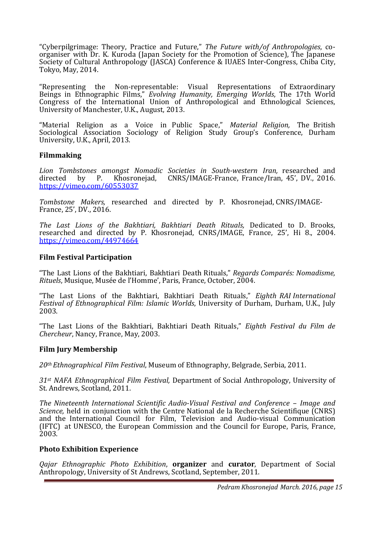"Cyberpilgrimage: Theory, Practice and Future," *The Future with/of Anthropologies*, coorganiser with Dr. K. Kuroda (Japan Society for the Promotion of Science), The Japanese Society of Cultural Anthropology (JASCA) Conference & IUAES Inter-Congress, Chiba City, Tokyo, May, 2014.

"Representing the Non-representable: Visual Representations of Extraordinary Beings in Ethnographic Films," *Evolving Humanity, Emerging Worlds*, The 17th World Congress of the International Union of Anthropological and Ethnological Sciences, University of Manchester, U.K., August, 2013.

"Material Religion as a Voice in Public Space," *Material Religion,* The British Sociological Association Sociology of Religion Study Group's Conference, Durham University, U.K., April, 2013.

#### **Filmmaking**

*Lion Tombstones amongst Nomadic Societies in South-western Iran,* researched and directed by P. Khosronejad, CNRS/IMAGE-France, France/Iran, 45', DV., 2016. https://vimeo.com/60553037

*Tombstone Makers,* researched and directed by P. Khosronejad, CNRS/IMAGE-France, 25', DV., 2016.

*The Last Lions of the Bakhtiari, Bakhtiari Death Rituals,* Dedicated to D. Brooks, researched and directed by P. Khosronejad, CNRS/IMAGE, France, 25', Hi 8., 2004. https://vimeo.com/44974664

## **Film Festival Participation**

"The Last Lions of the Bakhtiari, Bakhtiari Death Rituals," *Regards Comparés: Nomadisme, Rituels*, Musique, Musée de l'Homme', Paris, France, October, 2004.

"The Last Lions of the Bakhtiari, Bakhtiari Death Rituals," *Eighth RAI International Festival of Ethnographical Film: Islamic Worlds*, University of Durham, Durham, U.K., July 2003.

"The Last Lions of the Bakhtiari, Bakhtiari Death Rituals," *Eighth Festival du Film de Chercheur*, Nancy, France, May, 2003.

#### **Film Jury Membership**

*20th Ethnographical Film Festival*, Museum of Ethnography, Belgrade, Serbia, 2011.

*31st NAFA Ethnographical Film Festival,* Department of Social Anthropology, University of St. Andrews, Scotland, 2011.

*The Nineteenth International Scientific Audio-Visual Festival and Conference – Image and Science*, held in conjunction with the Centre National de la Recherche Scientifique (CNRS) and the International Council for Film, Television and Audio-visual Communication (IFTC) at UNESCO, the European Commission and the Council for Europe, Paris, France, 2003.

#### **Photo Exhibition Experience**

*Qajar Ethnographic Photo Exhibition*, **organizer** and **curator**, Department of Social Anthropology, University of St Andrews, Scotland, September, 2011.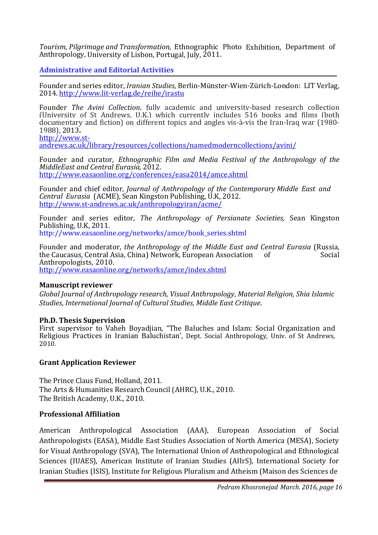*Tourism, Pilgrimage and Transformation,* Ethnographic Photo Exhibition, Department of Anthropology, University of Lisbon, Portugal, July, 2011.

**Administrative and Editorial Activities** 

Founder and series editor, *Iranian Studies,* Berlin-Münster-Wien-Zürich-London: LIT Verlag, 2014. http://www.lit-verlag.de/reihe/irastu

Founder *The Avini Collection*, fully academic and university-based research collection (University of St Andrews, U.K.) which currently includes 516 books and films (both documentary and fiction) on different topics and angles vis-à-vis the Iran-Iraq war (1980- 1988), 2013**.**  http://www.st-

andrews.ac.uk/library/resources/collections/namedmoderncollections/avini/

Founder and curator, *Ethnographic Film and Media Festival of the Anthropology of the MiddleEast and Central Eurasia,* 2012. http://www.easaonline.org/conferences/easa2014/amce.shtml

Founder and chief editor, *Journal of Anthropology of the Contemporary Middle East and Central Eurasia* (ACME), Sean Kingston Publishing, U.K, 2012. http://www.st-andrews.ac.uk/anthropologyiran/acme/

Founder and series editor, *The Anthropology of Persianate Societies,* Sean Kingston Publishing, U.K, 2011. http://www.easaonline.org/networks/amce/book\_series.shtml

Founder and moderator, *the Anthropology of the Middle East and Central Eurasia* (Russia, the Caucasus, Central Asia, China) Network, European Association of Anthropologists, 2010.

http://www.easaonline.org/networks/amce/index.shtml

## **Manuscript reviewer**

*Global Journal of Anthropology research, Visual Anthropology*, *Material Religion*, *Shia Islamic Studies*, *International Journal of Cultural Studies*, *Middle East Critique*.

## **Ph.D. Thesis Supervision**

First supervisor to Vaheh Boyadjian, "The Baluches and Islam: Social Organization and Religious Practices in Iranian Baluchistan', Dept. Social Anthropology, Univ. of St Andrews, 2010.

## **Grant Application Reviewer**

The Prince Claus Fund, Holland, 2011. The Arts & Humanities Research Council (AHRC), U.K., 2010. The British Academy, U.K., 2010.

## **Professional Affiliation**

American Anthropological Association (AAA), European Association of Social Anthropologists (EASA), Middle East Studies Association of North America (MESA), Society for Visual Anthropology (SVA), The International Union of Anthropological and Ethnological Sciences (IUAES), American Institute of Iranian Studies (AIIrS), International Society for Iranian Studies (ISIS), Institute for Religious Pluralism and Atheism (Maison des Sciences de